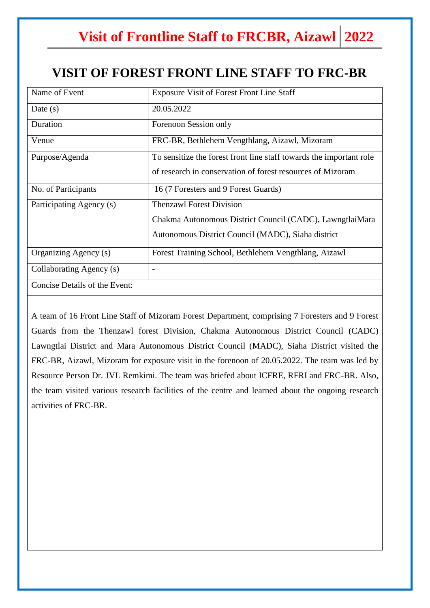## **Visit of Frontline Staff to FRCBR, Aizawl 2022**

## **VISIT OF FOREST FRONT LINE STAFF TO FRC-BR**

| Name of Event                 | <b>Exposure Visit of Forest Front Line Staff</b>                    |
|-------------------------------|---------------------------------------------------------------------|
| Date $(s)$                    | 20.05.2022                                                          |
| Duration                      | Forenoon Session only                                               |
| Venue                         | FRC-BR, Bethlehem Vengthlang, Aizawl, Mizoram                       |
| Purpose/Agenda                | To sensitize the forest front line staff towards the important role |
|                               | of research in conservation of forest resources of Mizoram          |
| No. of Participants           | 16 (7 Foresters and 9 Forest Guards)                                |
| Participating Agency (s)      | <b>Thenzawl Forest Division</b>                                     |
|                               | Chakma Autonomous District Council (CADC), LawngtlaiMara            |
|                               | Autonomous District Council (MADC), Siaha district                  |
| Organizing Agency (s)         | Forest Training School, Bethlehem Vengthlang, Aizawl                |
| Collaborating Agency (s)      | $\overline{\phantom{a}}$                                            |
| Concise Details of the Event: |                                                                     |

A team of 16 Front Line Staff of Mizoram Forest Department, comprising 7 Foresters and 9 Forest Guards from the Thenzawl forest Division, Chakma Autonomous District Council (CADC) Lawngtlai District and Mara Autonomous District Council (MADC), Siaha District visited the FRC-BR, Aizawl, Mizoram for exposure visit in the forenoon of 20.05.2022. The team was led by Resource Person Dr. JVL Remkimi. The team was briefed about ICFRE, RFRI and FRC-BR. Also, the team visited various research facilities of the centre and learned about the ongoing research activities of FRC-BR.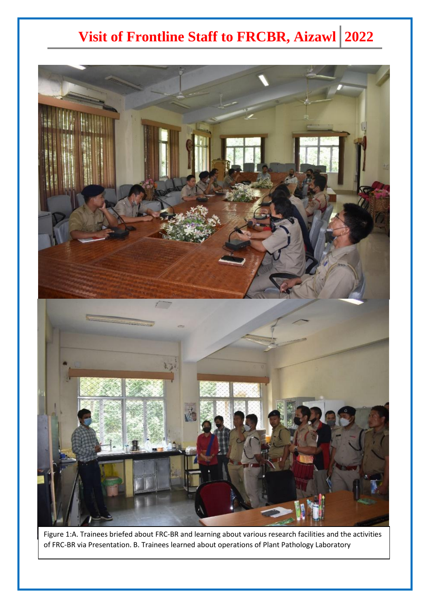## **Visit of Frontline Staff to FRCBR, Aizawl 2022**



Figure 1:A. Trainees briefed about FRC-BR and learning about various research facilities and the activities of FRC-BR via Presentation. B. Trainees learned about operations of Plant Pathology Laboratory